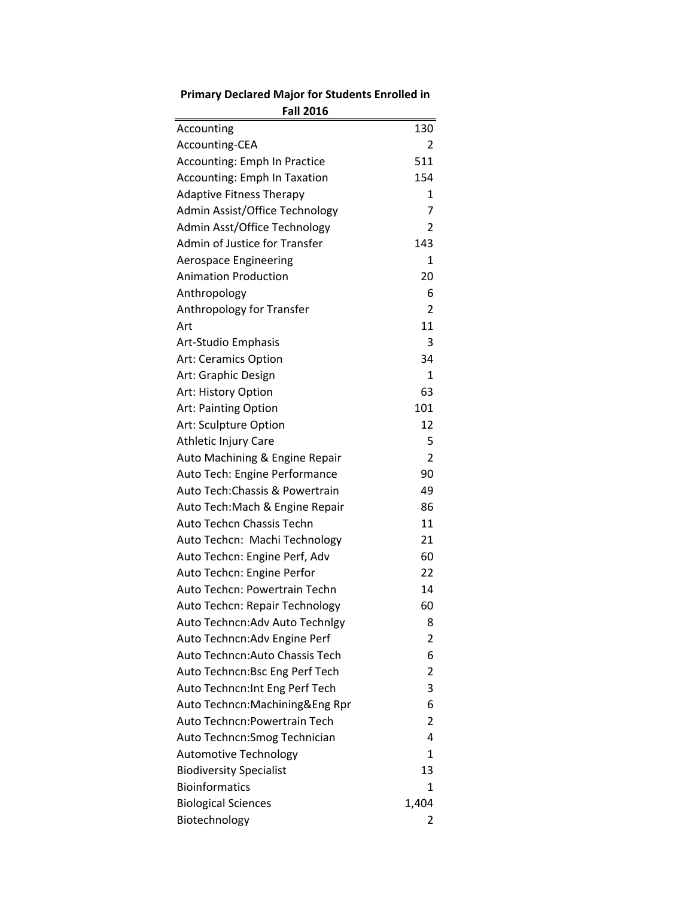| <b>Fall 2016</b>                    |                |
|-------------------------------------|----------------|
| Accounting                          | 130            |
| Accounting-CEA                      | 2              |
| <b>Accounting: Emph In Practice</b> | 511            |
| <b>Accounting: Emph In Taxation</b> | 154            |
| <b>Adaptive Fitness Therapy</b>     | 1              |
| Admin Assist/Office Technology      | 7              |
| Admin Asst/Office Technology        | $\overline{2}$ |
| Admin of Justice for Transfer       | 143            |
| <b>Aerospace Engineering</b>        | 1              |
| <b>Animation Production</b>         | 20             |
| Anthropology                        | 6              |
| Anthropology for Transfer           | 2              |
| Art                                 | 11             |
| Art-Studio Emphasis                 | 3              |
| <b>Art: Ceramics Option</b>         | 34             |
| Art: Graphic Design                 | $\mathbf{1}$   |
| Art: History Option                 | 63             |
| <b>Art: Painting Option</b>         | 101            |
| Art: Sculpture Option               | 12             |
| Athletic Injury Care                | 5              |
| Auto Machining & Engine Repair      | $\overline{2}$ |
| Auto Tech: Engine Performance       | 90             |
| Auto Tech: Chassis & Powertrain     | 49             |
| Auto Tech:Mach & Engine Repair      | 86             |
| Auto Techcn Chassis Techn           | 11             |
| Auto Techcn: Machi Technology       | 21             |
| Auto Techcn: Engine Perf, Adv       | 60             |
| Auto Techcn: Engine Perfor          | 22             |
| Auto Techcn: Powertrain Techn       | 14             |
| Auto Techcn: Repair Technology      | 60             |
| Auto Techncn:Adv Auto Technlgy      | 8              |
| Auto Techncn: Adv Engine Perf       | 2              |
| Auto Techncn:Auto Chassis Tech      | 6              |
| Auto Techncn:Bsc Eng Perf Tech      | 2              |
| Auto Techncn: Int Eng Perf Tech     | 3              |
| Auto Techncn:Machining&Eng Rpr      | 6              |
| Auto Techncn:Powertrain Tech        | $\overline{2}$ |
| Auto Techncn: Smog Technician       | 4              |
| <b>Automotive Technology</b>        | 1              |
| <b>Biodiversity Specialist</b>      | 13             |
| <b>Bioinformatics</b>               | $\mathbf{1}$   |
| <b>Biological Sciences</b>          | 1,404          |
| Biotechnology                       | 2              |
|                                     |                |

## **Primary Declared Major for Students Enrolled in**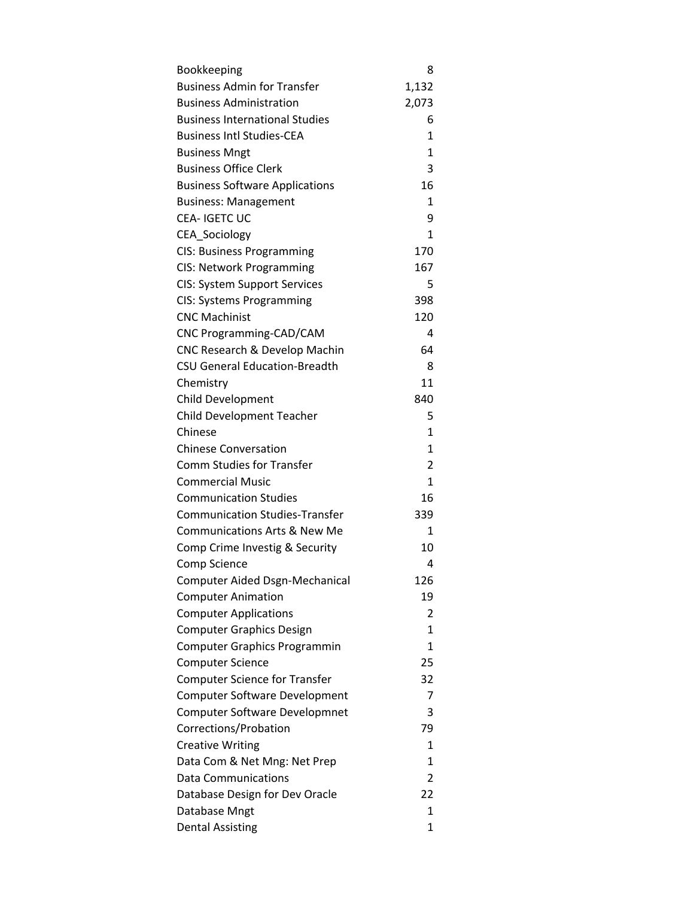| Bookkeeping                             | 8            |
|-----------------------------------------|--------------|
| <b>Business Admin for Transfer</b>      | 1,132        |
| <b>Business Administration</b>          | 2,073        |
| <b>Business International Studies</b>   | 6            |
| <b>Business Intl Studies-CEA</b>        | $\mathbf{1}$ |
| <b>Business Mngt</b>                    | $\mathbf{1}$ |
| <b>Business Office Clerk</b>            | 3            |
| <b>Business Software Applications</b>   | 16           |
| <b>Business: Management</b>             | $\mathbf{1}$ |
| <b>CEA-IGETCUC</b>                      | 9            |
| CEA_Sociology                           | 1            |
| <b>CIS: Business Programming</b>        | 170          |
| CIS: Network Programming                | 167          |
| <b>CIS: System Support Services</b>     | 5            |
| <b>CIS: Systems Programming</b>         | 398          |
| <b>CNC Machinist</b>                    | 120          |
| CNC Programming-CAD/CAM                 | 4            |
| CNC Research & Develop Machin           | 64           |
| <b>CSU General Education-Breadth</b>    | 8            |
| Chemistry                               | 11           |
| Child Development                       | 840          |
| Child Development Teacher               | 5            |
| Chinese                                 | $\mathbf{1}$ |
| <b>Chinese Conversation</b>             | $\mathbf{1}$ |
| <b>Comm Studies for Transfer</b>        | 2            |
| <b>Commercial Music</b>                 | $\mathbf{1}$ |
| <b>Communication Studies</b>            | 16           |
| <b>Communication Studies-Transfer</b>   | 339          |
| <b>Communications Arts &amp; New Me</b> | 1            |
| Comp Crime Investig & Security          | 10           |
| Comp Science                            | 4            |
| <b>Computer Aided Dsgn-Mechanical</b>   | 126          |
| <b>Computer Animation</b>               | 19           |
| <b>Computer Applications</b>            | 2            |
| <b>Computer Graphics Design</b>         | $\mathbf{1}$ |
| <b>Computer Graphics Programmin</b>     | $\mathbf{1}$ |
| <b>Computer Science</b>                 | 25           |
| <b>Computer Science for Transfer</b>    | 32           |
| <b>Computer Software Development</b>    | 7            |
| <b>Computer Software Developmnet</b>    | 3            |
| Corrections/Probation                   | 79           |
| <b>Creative Writing</b>                 | 1            |
| Data Com & Net Mng: Net Prep            | $\mathbf{1}$ |
| <b>Data Communications</b>              | 2            |
| Database Design for Dev Oracle          | 22           |
| Database Mngt                           | 1            |
| <b>Dental Assisting</b>                 | $\mathbf{1}$ |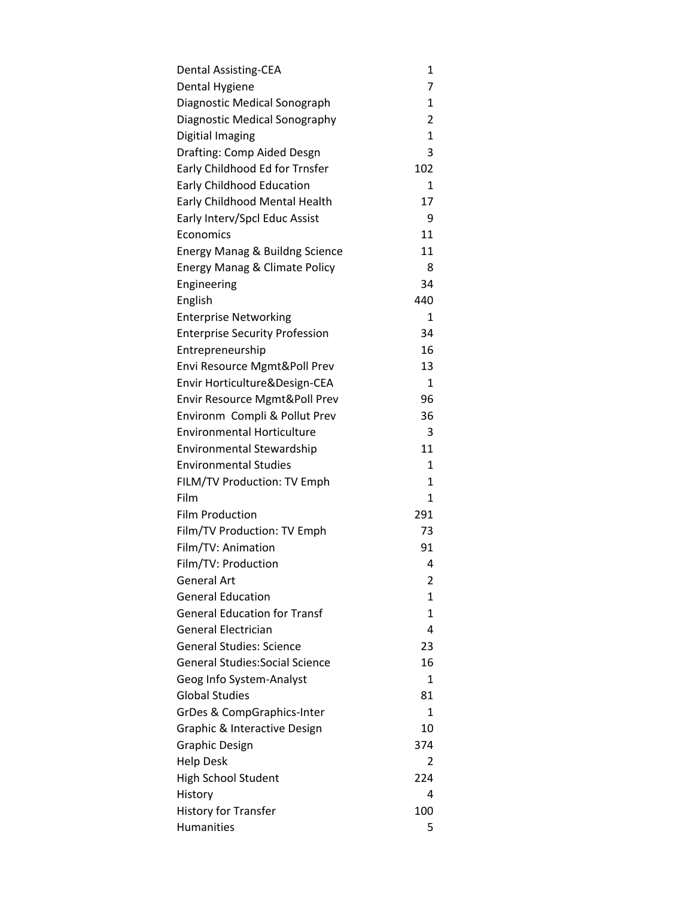| <b>Dental Assisting-CEA</b>               | 1              |
|-------------------------------------------|----------------|
| Dental Hygiene                            | 7              |
| Diagnostic Medical Sonograph              | 1              |
| Diagnostic Medical Sonography             | $\overline{2}$ |
| Digitial Imaging                          | $\mathbf{1}$   |
| Drafting: Comp Aided Desgn                | 3              |
| Early Childhood Ed for Trnsfer            | 102            |
| <b>Early Childhood Education</b>          | 1              |
| Early Childhood Mental Health             | 17             |
| Early Interv/Spcl Educ Assist             | 9              |
| Economics                                 | 11             |
| <b>Energy Manag &amp; Buildng Science</b> | 11             |
| Energy Manag & Climate Policy             | 8              |
| Engineering                               | 34             |
| English                                   | 440            |
| <b>Enterprise Networking</b>              | 1              |
| <b>Enterprise Security Profession</b>     | 34             |
| Entrepreneurship                          | 16             |
| Envi Resource Mgmt&Poll Prev              | 13             |
| Envir Horticulture&Design-CEA             | 1              |
| Envir Resource Mgmt&Poll Prev             | 96             |
| Environm Compli & Pollut Prev             | 36             |
| <b>Environmental Horticulture</b>         | 3              |
| <b>Environmental Stewardship</b>          | 11             |
| <b>Environmental Studies</b>              | 1              |
| FILM/TV Production: TV Emph               | $\mathbf{1}$   |
| Film                                      | 1              |
| <b>Film Production</b>                    | 291            |
| Film/TV Production: TV Emph               | 73             |
| Film/TV: Animation                        | 91             |
| Film/TV: Production                       | 4              |
| General Art                               | 2              |
| <b>General Education</b>                  | 1              |
| <b>General Education for Transf</b>       | 1              |
| General Electrician                       | 4              |
| <b>General Studies: Science</b>           | 23             |
| <b>General Studies: Social Science</b>    | 16             |
| Geog Info System-Analyst                  | 1              |
| <b>Global Studies</b>                     | 81             |
| GrDes & CompGraphics-Inter                | 1              |
| Graphic & Interactive Design              | 10             |
| <b>Graphic Design</b>                     | 374            |
| <b>Help Desk</b>                          | 2              |
| High School Student                       | 224            |
| History                                   | 4              |
| <b>History for Transfer</b>               | 100            |
| <b>Humanities</b>                         | 5              |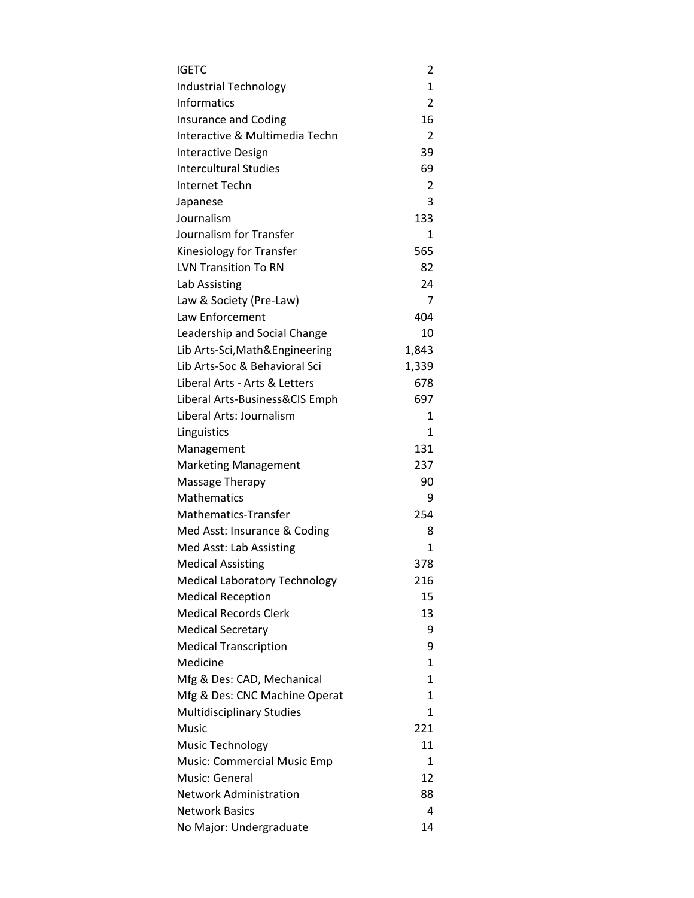| IGETC                                | 2              |
|--------------------------------------|----------------|
| <b>Industrial Technology</b>         | $\mathbf{1}$   |
| <b>Informatics</b>                   | 2              |
| <b>Insurance and Coding</b>          | 16             |
| Interactive & Multimedia Techn       | $\overline{2}$ |
| <b>Interactive Design</b>            | 39             |
| <b>Intercultural Studies</b>         | 69             |
| Internet Techn                       | 2              |
| Japanese                             | 3              |
| Journalism                           | 133            |
| Journalism for Transfer              | 1              |
| Kinesiology for Transfer             | 565            |
| <b>LVN Transition To RN</b>          | 82             |
| Lab Assisting                        | 24             |
| Law & Society (Pre-Law)              | 7              |
| <b>Law Enforcement</b>               | 404            |
| Leadership and Social Change         | 10             |
| Lib Arts-Sci, Math&Engineering       | 1,843          |
| Lib Arts-Soc & Behavioral Sci        | 1,339          |
| Liberal Arts - Arts & Letters        | 678            |
| Liberal Arts-Business&CIS Emph       | 697            |
| Liberal Arts: Journalism             | 1              |
| Linguistics                          | $\mathbf{1}$   |
| Management                           | 131            |
| <b>Marketing Management</b>          | 237            |
| Massage Therapy                      | 90             |
| <b>Mathematics</b>                   | 9              |
| Mathematics-Transfer                 | 254            |
| Med Asst: Insurance & Coding         | 8              |
| Med Asst: Lab Assisting              | $\mathbf{1}$   |
| <b>Medical Assisting</b>             | 378            |
| <b>Medical Laboratory Technology</b> | 216            |
| <b>Medical Reception</b>             | 15             |
| Medical Records Clerk                | 13             |
| <b>Medical Secretary</b>             | 9              |
| <b>Medical Transcription</b>         | 9              |
| Medicine                             | 1              |
| Mfg & Des: CAD, Mechanical           | 1              |
| Mfg & Des: CNC Machine Operat        | 1              |
| <b>Multidisciplinary Studies</b>     | 1              |
| Music                                | 221            |
| <b>Music Technology</b>              | 11             |
| Music: Commercial Music Emp          | 1              |
| Music: General                       | 12             |
| <b>Network Administration</b>        | 88             |
| <b>Network Basics</b>                | 4              |
| No Major: Undergraduate              | 14             |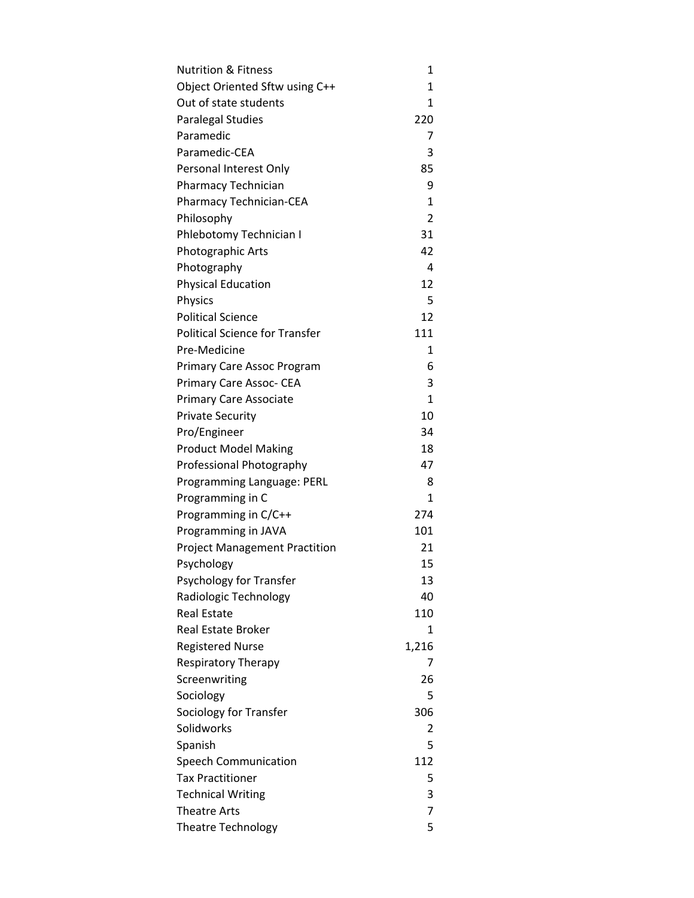| <b>Nutrition &amp; Fitness</b>        | 1            |
|---------------------------------------|--------------|
| Object Oriented Sftw using C++        | $\mathbf{1}$ |
| Out of state students                 | 1            |
| Paralegal Studies                     | 220          |
| Paramedic                             | 7            |
| Paramedic-CEA                         | 3            |
| Personal Interest Only                | 85           |
| Pharmacy Technician                   | 9            |
| Pharmacy Technician-CEA               | $\mathbf{1}$ |
| Philosophy                            | 2            |
| Phlebotomy Technician I               | 31           |
| Photographic Arts                     | 42           |
| Photography                           | 4            |
| <b>Physical Education</b>             | 12           |
| <b>Physics</b>                        | 5            |
| <b>Political Science</b>              | 12           |
| <b>Political Science for Transfer</b> | 111          |
| Pre-Medicine                          | 1            |
| Primary Care Assoc Program            | 6            |
| Primary Care Assoc- CEA               | 3            |
| <b>Primary Care Associate</b>         | $\mathbf{1}$ |
| Private Security                      | 10           |
| Pro/Engineer                          | 34           |
| <b>Product Model Making</b>           | 18           |
| Professional Photography              | 47           |
| Programming Language: PERL            | 8            |
| Programming in C                      | 1            |
| Programming in C/C++                  | 274          |
| Programming in JAVA                   | 101          |
| <b>Project Management Practition</b>  | 21           |
| Psychology                            | 15           |
| Psychology for Transfer               | 13           |
| Radiologic Technology                 | 40           |
| <b>Real Estate</b>                    | 110          |
| <b>Real Estate Broker</b>             | 1            |
| <b>Registered Nurse</b>               | 1,216        |
| Respiratory Therapy                   | 7            |
| Screenwriting                         | 26           |
| Sociology                             | 5            |
| Sociology for Transfer                | 306          |
| Solidworks                            | 2            |
| Spanish                               | 5            |
| <b>Speech Communication</b>           | 112          |
| <b>Tax Practitioner</b>               | 5            |
| <b>Technical Writing</b>              | 3            |
| <b>Theatre Arts</b>                   | 7            |
| Theatre Technology                    | 5            |